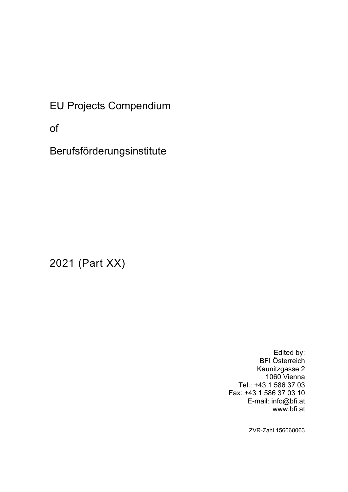EU Projects Compendium

of

Berufsförderungsinstitute

2021 (Part XX)

Edited by: BFI Österreich Kaunitzgasse 2 1060 Vienna Tel.: +43 1 586 37 03 Fax: +43 1 586 37 03 10 E-mail: info@bfi.at www.bfi.at

ZVR-Zahl 156068063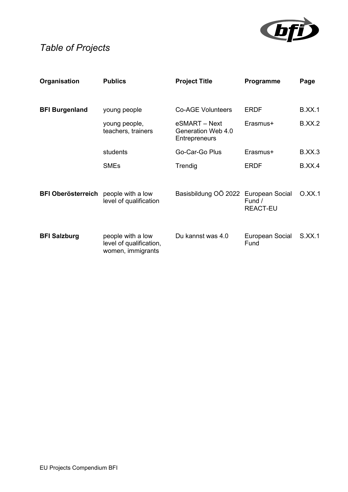

# *Table of Projects*

| Organisation              | <b>Publics</b>                                                    | <b>Project Title</b>                                        | Programme                 | Page          |
|---------------------------|-------------------------------------------------------------------|-------------------------------------------------------------|---------------------------|---------------|
| <b>BFI Burgenland</b>     | young people                                                      | <b>Co-AGE Volunteers</b>                                    | <b>ERDF</b>               | <b>B.XX.1</b> |
|                           | young people,<br>teachers, trainers                               | eSMART - Next<br>Generation Web 4.0<br><b>Entrepreneurs</b> | Erasmus+                  | B.XX.2        |
|                           | students                                                          | Go-Car-Go Plus                                              | Erasmus+                  | <b>B.XX.3</b> |
|                           | <b>SMEs</b>                                                       | Trendig                                                     | <b>ERDF</b>               | B.XX.4        |
| <b>BFI Oberösterreich</b> | people with a low<br>level of qualification                       | Basisbildung OÖ 2022 European Social                        | Fund /<br><b>REACT-EU</b> | O.XX.1        |
| <b>BFI Salzburg</b>       | people with a low<br>level of qualification,<br>women, immigrants | Du kannst was 4.0                                           | European Social<br>Fund   | S.XX.1        |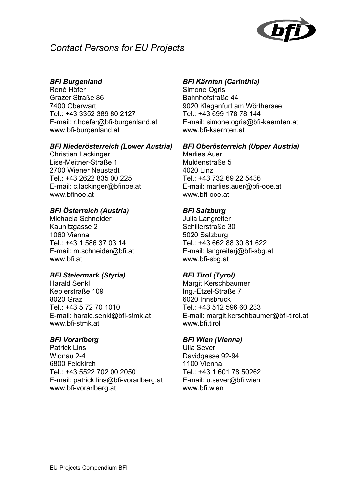

## *Contact Persons for EU Projects*

### *BFI Burgenland*

René Höfer Grazer Straße 86 7400 Oberwart Tel.: +43 3352 389 80 2127 E-mail: r.hoefer@bfi-burgenland.at www.bfi-burgenland.at

#### *BFI Niederösterreich (Lower Austria)*

Christian Lackinger Lise-Meitner-Straße 1 2700 Wiener Neustadt Tel.: +43 2622 835 00 225 E-mail: c.lackinger@bfinoe.at www.bfinoe.at

### *BFI Österreich (Austria)*

Michaela Schneider Kaunitzgasse 2 1060 Vienna Tel.: +43 1 586 37 03 14 E-mail: m.schneider@bfi.at www.bfi.at

#### *BFI Steiermark (Styria)*

Harald Senkl Keplerstraße 109 8020 Graz Tel.: +43 5 72 70 1010 E-mail: harald.senkl@bfi-stmk.at www.bfi-stmk.at

#### *BFI Vorarlberg*

Patrick Lins Widnau 2-4 6800 Feldkirch Tel.: +43 5522 702 00 2050 E-mail: patrick.lins@bfi-vorarlberg.at www.bfi-vorarlberg.at

#### *BFI Kärnten (Carinthia)*

Simone Ogris Bahnhofstraße 44 9020 Klagenfurt am Wörthersee Tel.: +43 699 178 78 144 E-mail: simone.ogris@bfi-kaernten.at www.bfi-kaernten.at

#### *BFI Oberösterreich (Upper Austria)*

Marlies Auer Muldenstraße 5 4020 Linz Tel.: +43 732 69 22 5436 E-mail: marlies.auer@bfi-ooe.at www.bfi-ooe.at

#### *BFI Salzburg*

Julia Langreiter Schillerstraße 30 5020 Salzburg Tel.: +43 662 88 30 81 622 E-mail: langreiterj@bfi-sbg.at www.bfi-sbg.at

### *BFI Tirol (Tyrol)*

Margit Kerschbaumer Ing.-Etzel-Straße 7 6020 Innsbruck Tel.: +43 512 596 60 233 E-mail: margit.kerschbaumer@bfi-tirol.at www.bfi.tirol

#### *BFI Wien (Vienna)*

Ulla Sever Davidgasse 92-94 1100 Vienna Tel.: +43 1 601 78 50262 E-mail: u.sever@bfi.wien www.bfi.wien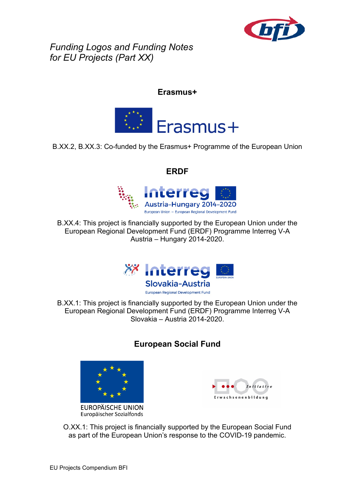

*Funding Logos and Funding Notes for EU Projects (Part XX)* 

### **Erasmus+**



### B.XX.2, B.XX.3: Co-funded by the Erasmus+ Programme of the European Union

### **ERDF**



B.XX.4: This project is financially supported by the European Union under the European Regional Development Fund (ERDF) Programme Interreg V-A Austria – Hungary 2014-2020.



B.XX.1: This project is financially supported by the European Union under the European Regional Development Fund (ERDF) Programme Interreg V-A Slovakia – Austria 2014-2020.

## **European Social Fund**



**EUROPÄISCHE UNION** Europäischer Sozialfonds



O.XX.1: This project is financially supported by the European Social Fund as part of the European Union's response to the COVID-19 pandemic.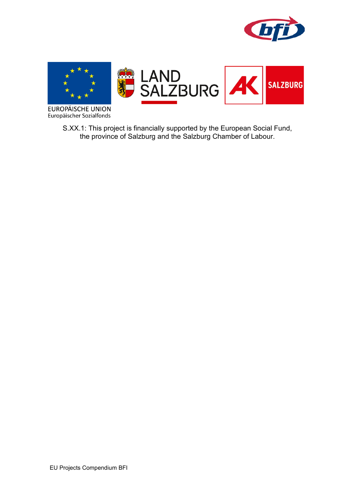



**EUROPÄISCHE UNION** Europäischer Sozialfonds

> S.XX.1: This project is financially supported by the European Social Fund, the province of Salzburg and the Salzburg Chamber of Labour.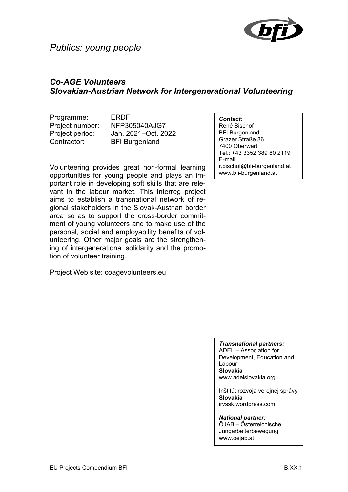

## *Publics: young people*

## *Co-AGE Volunteers Slovakian-Austrian Network for Intergenerational Volunteering*

Programme: ERDF Contractor: BFI Burgenland

Project number: NFP305040AJG7 Project period: Jan. 2021–Oct. 2022

Volunteering provides great non-formal learning opportunities for young people and plays an important role in developing soft skills that are relevant in the labour market. This Interreg project aims to establish a transnational network of regional stakeholders in the Slovak-Austrian border area so as to support the cross-border commitment of young volunteers and to make use of the personal, social and employability benefits of volunteering. Other major goals are the strengthening of intergenerational solidarity and the promotion of volunteer training.

Project Web site: coagevolunteers.eu

*Contact:*

René Bischof BFI Burgenland Grazer Straße 86 7400 Oberwart Tel.: +43 3352 389 80 2119 E-mail: r.bischof@bfi-burgenland.at www.bfi-burgenland.at

*Transnational partners:*

ADEL – Association for Development, Education and Labour **Slovakia** www.adelslovakia.org

Inštitút rozvoja verejnej správy **Slovakia** irvssk.wordpress.com

*National partner:* ÖJAB – Österreichische Jungarbeiterbewegung www.oejab.at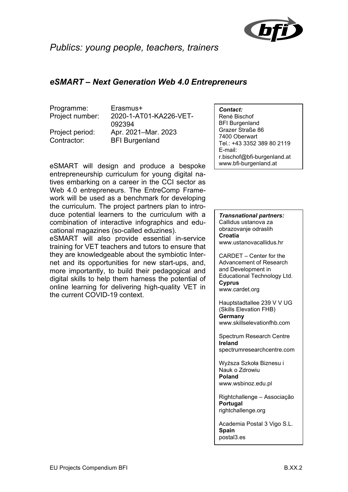

## *Publics: young people, teachers, trainers*

## *eSMART – Next Generation Web 4.0 Entrepreneurs*

Programme: Erasmus+

Project number: 2020-1-AT01-KA226-VET-092394 Project period: Apr. 2021–Mar. 2023 Contractor: BFI Burgenland

eSMART will design and produce a bespoke entrepreneurship curriculum for young digital natives embarking on a career in the CCI sector as Web 4.0 entrepreneurs. The EntreComp Framework will be used as a benchmark for developing the curriculum. The project partners plan to introduce potential learners to the curriculum with a combination of interactive infographics and educational magazines (so-called eduzines).

eSMART will also provide essential in-service training for VET teachers and tutors to ensure that they are knowledgeable about the symbiotic Internet and its opportunities for new start-ups, and, more importantly, to build their pedagogical and digital skills to help them harness the potential of online learning for delivering high-quality VET in the current COVID-19 context.

*Contact:*

René Bischof BFI Burgenland Grazer Straße 86 7400 Oberwart Tel.: +43 3352 389 80 2119 E-mail: r.bischof@bfi-burgenland.at www.bfi-burgenland.at

*Transnational partners:* Callidus ustanova za obrazovanje odraslih **Croatia**  www.ustanovacallidus.hr

CARDET – Center for the Advancement of Research and Development in Educational Technology Ltd. **Cyprus** www.cardet.org

Hauptstadtallee 239 V V UG (Skills Elevation FHB) **Germany** www.skillselevationfhb.com

Spectrum Research Centre **Ireland** spectrumresearchcentre.com

Wyższa Szkoła Biznesu i Nauk o Zdrowiu **Poland**  www.wsbinoz.edu.pl

Rightchallenge – Associação **Portugal** rightchallenge.org

Academia Postal 3 Vigo S.L. **Spain** postal3.es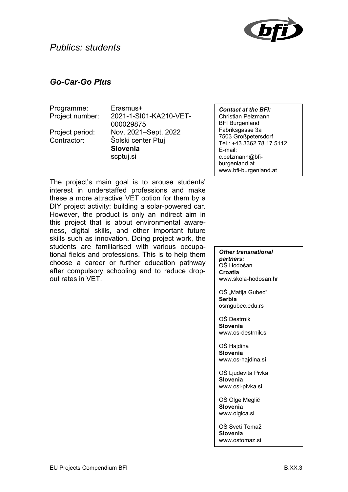

## *Go-Car-Go Plus*

| Programme:      |  |
|-----------------|--|
| Project number: |  |

Frasmus+ 2021-1-SI01-KA210-VET-000029875 Project period: Nov. 2021–Sept. 2022 Contractor: Šolski center Ptuj **Slovenia**  scptuj.si

*Contact at the BFI:* Christian Pelzmann BFI Burgenland Fabriksgasse 3a 7503 Großpetersdorf Tel.: +43 3362 78 17 5112 E-mail: c.pelzmann@bfiburgenland.at www.bfi-burgenland.at

The project's main goal is to arouse students' interest in understaffed professions and make these a more attractive VET option for them by a DIY project activity: building a solar-powered car. However, the product is only an indirect aim in this project that is about environmental awareness, digital skills, and other important future skills such as innovation. Doing project work, the students are familiarised with various occupational fields and professions. This is to help them choose a career or further education pathway after compulsory schooling and to reduce dropout rates in VET.

*Other transnational partners:*  OŠ Hodošan **Croatia**  www.skola-hodosan.hr

OŠ "Matija Gubec" **Serbia**  osmgubec.edu.rs

OŠ Destrnik **Slovenia**  www.os-destrnik.si

OŠ Hajdina **Slovenia**  www.os-hajdina.si

OŠ Ljudevita Pivka **Slovenia** www.osl-pivka.si

OŠ Olge Meglič **Slovenia**  www.olgica.si

OŠ Sveti Tomaž **Slovenia** www.ostomaz.si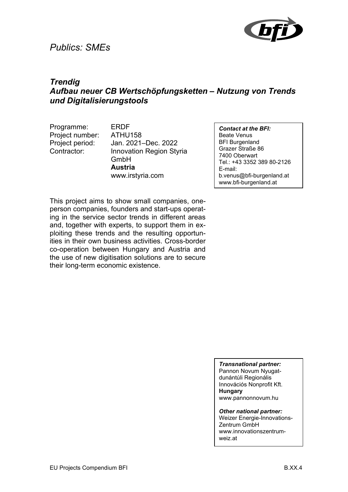## *Publics: SMEs*



## *Trendig Aufbau neuer CB Wertschöpfungsketten – Nutzung von Trends und Digitalisierungstools*

Programme: ERDF Project number: ATHU158

Project period: Jan. 2021–Dec. 2022 Contractor: Innovation Region Styria GmbH **Austria** www.irstyria.com

*Contact at the BFI:* Beate Venus BFI Burgenland Grazer Straße 86 7400 Oberwart Tel.: +43 3352 389 80-2126 E-mail: b.venus@bfi-burgenland.at www.bfi-burgenland.at

This project aims to show small companies, oneperson companies, founders and start-ups operating in the service sector trends in different areas and, together with experts, to support them in exploiting these trends and the resulting opportunities in their own business activities. Cross-border co-operation between Hungary and Austria and the use of new digitisation solutions are to secure their long-term economic existence.

*Transnational partner:*

Pannon Novum Nyugatdunántúli Regionális Innovációs Nonprofit Kft. **Hungary**  www.pannonnovum.hu

*Other national partner:*

Weizer Energie-Innovations-Zentrum GmbH www.innovationszentrumweiz.at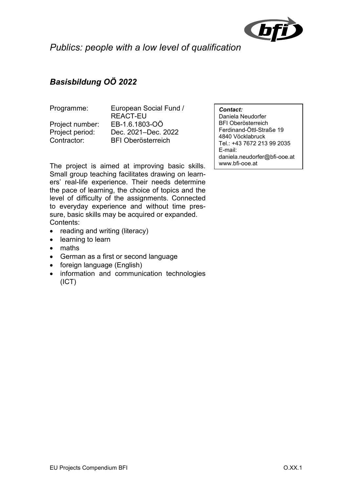

*Publics: people with a low level of qualification* 

## *Basisbildung OÖ 2022*

Programme: European Social Fund / REACT-EU Project number: EB-1.6.1803-OÖ Project period: Dec. 2021–Dec. 2022 Contractor: BFI Oberösterreich

The project is aimed at improving basic skills. Small group teaching facilitates drawing on learners' real-life experience. Their needs determine the pace of learning, the choice of topics and the level of difficulty of the assignments. Connected to everyday experience and without time pressure, basic skills may be acquired or expanded. Contents:

- reading and writing (literacy)
- learning to learn
- maths
- German as a first or second language
- foreign language (English)
- information and communication technologies (ICT)

#### *Contact:*

Daniela Neudorfer BFI Oberösterreich Ferdinand-Öttl-Straße 19 4840 Vöcklabruck Tel.: +43 7672 213 99 2035 E-mail: daniela.neudorfer@bfi-ooe.at www.bfi-ooe.at